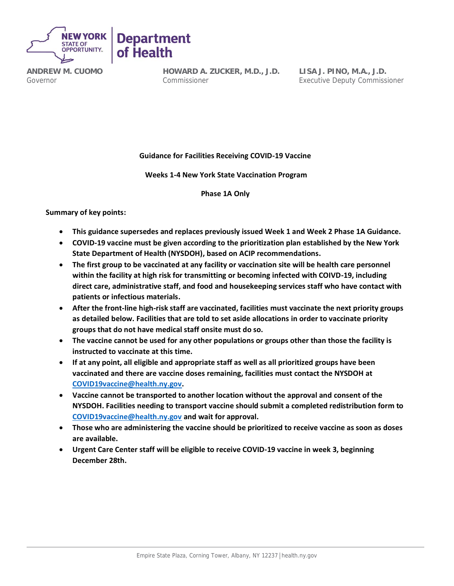



**ANDREW M. CUOMO** Governor

**HOWARD A. ZUCKER, M.D., J.D.** Commissioner

**LISA J. PINO, M.A., J.D.** Executive Deputy Commissioner

**Guidance for Facilities Receiving COVID-19 Vaccine**

**Weeks 1-4 New York State Vaccination Program**

**Phase 1A Only**

**Summary of key points:**

- **This guidance supersedes and replaces previously issued Week 1 and Week 2 Phase 1A Guidance.**
- **COVID-19 vaccine must be given according to the prioritization plan established by the New York State Department of Health (NYSDOH), based on ACIP recommendations.**
- **The first group to be vaccinated at any facility or vaccination site will be health care personnel within the facility at high risk for transmitting or becoming infected with COIVD-19, including direct care, administrative staff, and food and housekeeping services staff who have contact with patients or infectious materials.**
- **After the front-line high-risk staff are vaccinated, facilities must vaccinate the next priority groups as detailed below. Facilities that are told to set aside allocations in order to vaccinate priority groups that do not have medical staff onsite must do so.**
- **The vaccine cannot be used for any other populations or groups other than those the facility is instructed to vaccinate at this time.**
- **If at any point, all eligible and appropriate staff as well as all prioritized groups have been vaccinated and there are vaccine doses remaining, facilities must contact the NYSDOH at [COVID19vaccine@health.ny.gov.](mailto:COVID19vaccine@health.ny.gov)**
- **Vaccine cannot be transported to another location without the approval and consent of the NYSDOH. Facilities needing to transport vaccine should submit a completed redistribution form to [COVID19vaccine@health.ny.gov](mailto:COVID19vaccine@health.ny.gov) and wait for approval.**
- **Those who are administering the vaccine should be prioritized to receive vaccine as soon as doses are available.**
- **Urgent Care Center staff will be eligible to receive COVID-19 vaccine in week 3, beginning December 28th.**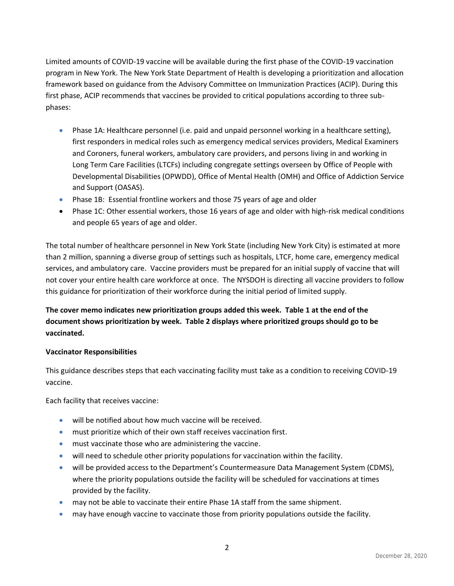Limited amounts of COVID-19 vaccine will be available during the first phase of the COVID-19 vaccination program in New York. The New York State Department of Health is developing a prioritization and allocation framework based on guidance from the Advisory Committee on Immunization Practices (ACIP). During this first phase, ACIP recommends that vaccines be provided to critical populations according to three subphases:

- Phase 1A: Healthcare personnel (i.e. paid and unpaid personnel working in a healthcare setting), first responders in medical roles such as emergency medical services providers, Medical Examiners and Coroners, funeral workers, ambulatory care providers, and persons living in and working in Long Term Care Facilities (LTCFs) including congregate settings overseen by Office of People with Developmental Disabilities (OPWDD), Office of Mental Health (OMH) and Office of Addiction Service and Support (OASAS).
- Phase 1B: Essential frontline workers and those 75 years of age and older
- Phase 1C: Other essential workers, those 16 years of age and older with high-risk medical conditions and people 65 years of age and older.

The total number of healthcare personnel in New York State (including New York City) is estimated at more than 2 million, spanning a diverse group of settings such as hospitals, LTCF, home care, emergency medical services, and ambulatory care. Vaccine providers must be prepared for an initial supply of vaccine that will not cover your entire health care workforce at once. The NYSDOH is directing all vaccine providers to follow this guidance for prioritization of their workforce during the initial period of limited supply.

# **The cover memo indicates new prioritization groups added this week. Table 1 at the end of the document shows prioritization by week. Table 2 displays where prioritized groups should go to be vaccinated.**

## **Vaccinator Responsibilities**

This guidance describes steps that each vaccinating facility must take as a condition to receiving COVID-19 vaccine.

Each facility that receives vaccine:

- will be notified about how much vaccine will be received.
- must prioritize which of their own staff receives vaccination first.
- must vaccinate those who are administering the vaccine.
- will need to schedule other priority populations for vaccination within the facility.
- will be provided access to the Department's Countermeasure Data Management System (CDMS), where the priority populations outside the facility will be scheduled for vaccinations at times provided by the facility.
- may not be able to vaccinate their entire Phase 1A staff from the same shipment.
- may have enough vaccine to vaccinate those from priority populations outside the facility.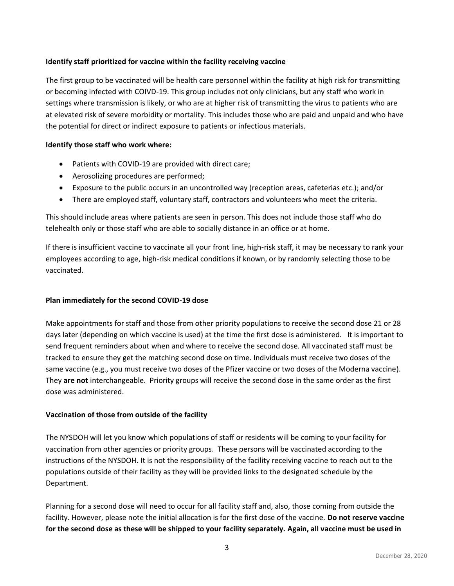## **Identify staff prioritized for vaccine within the facility receiving vaccine**

The first group to be vaccinated will be health care personnel within the facility at high risk for transmitting or becoming infected with COIVD-19. This group includes not only clinicians, but any staff who work in settings where transmission is likely, or who are at higher risk of transmitting the virus to patients who are at elevated risk of severe morbidity or mortality. This includes those who are paid and unpaid and who have the potential for direct or indirect exposure to patients or infectious materials.

## **Identify those staff who work where:**

- Patients with COVID-19 are provided with direct care;
- Aerosolizing procedures are performed;
- Exposure to the public occurs in an uncontrolled way (reception areas, cafeterias etc.); and/or
- There are employed staff, voluntary staff, contractors and volunteers who meet the criteria.

This should include areas where patients are seen in person. This does not include those staff who do telehealth only or those staff who are able to socially distance in an office or at home.

If there is insufficient vaccine to vaccinate all your front line, high-risk staff, it may be necessary to rank your employees according to age, high-risk medical conditions if known, or by randomly selecting those to be vaccinated.

## **1. Plan immediately for the second COVID-19 dose**

Make appointments for staff and those from other priority populations to receive the second dose 21 or 28 days later (depending on which vaccine is used) at the time the first dose is administered. It is important to send frequent reminders about when and where to receive the second dose. All vaccinated staff must be tracked to ensure they get the matching second dose on time. Individuals must receive two doses of the same vaccine (e.g., you must receive two doses of the Pfizer vaccine or two doses of the Moderna vaccine). They **are not** interchangeable. Priority groups will receive the second dose in the same order as the first dose was administered.

## **Vaccination of those from outside of the facility**

The NYSDOH will let you know which populations of staff or residents will be coming to your facility for vaccination from other agencies or priority groups. These persons will be vaccinated according to the instructions of the NYSDOH. It is not the responsibility of the facility receiving vaccine to reach out to the populations outside of their facility as they will be provided links to the designated schedule by the Department.

Planning for a second dose will need to occur for all facility staff and, also, those coming from outside the facility. However, please note the initial allocation is for the first dose of the vaccine. **Do not reserve vaccine for the second dose as these will be shipped to your facility separately. Again, all vaccine must be used in**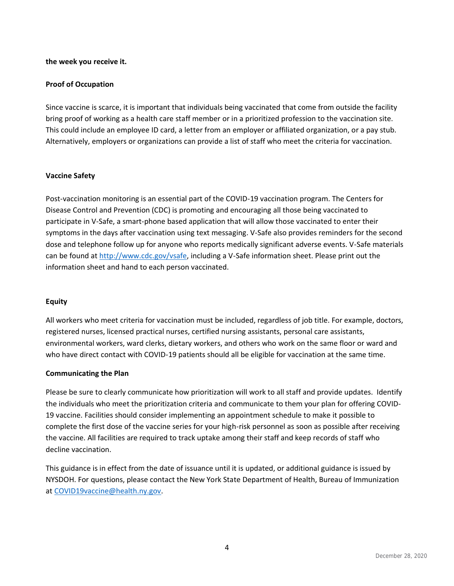## **the week you receive it.**

## **Proof of Occupation**

Since vaccine is scarce, it is important that individuals being vaccinated that come from outside the facility bring proof of working as a health care staff member or in a prioritized profession to the vaccination site. This could include an employee ID card, a letter from an employer or affiliated organization, or a pay stub. Alternatively, employers or organizations can provide a list of staff who meet the criteria for vaccination.

## **Vaccine Safety**

Post-vaccination monitoring is an essential part of the COVID-19 vaccination program. The Centers for Disease Control and Prevention (CDC) is promoting and encouraging all those being vaccinated to participate in V-Safe, a smart-phone based application that will allow those vaccinated to enter their symptoms in the days after vaccination using text messaging. V-Safe also provides reminders for the second dose and telephone follow up for anyone who reports medically significant adverse events. V-Safe materials can be found at [http://www.cdc.gov/vsafe,](http://www.cdc.gov/vsafe) including a V-Safe information sheet. Please print out the information sheet and hand to each person vaccinated.

## **Equity**

All workers who meet criteria for vaccination must be included, regardless of job title. For example, doctors, registered nurses, licensed practical nurses, certified nursing assistants, personal care assistants, environmental workers, ward clerks, dietary workers, and others who work on the same floor or ward and who have direct contact with COVID-19 patients should all be eligible for vaccination at the same time.

## **Communicating the Plan**

Please be sure to clearly communicate how prioritization will work to all staff and provide updates. Identify the individuals who meet the prioritization criteria and communicate to them your plan for offering COVID-19 vaccine. Facilities should consider implementing an appointment schedule to make it possible to complete the first dose of the vaccine series for your high-risk personnel as soon as possible after receiving the vaccine. All facilities are required to track uptake among their staff and keep records of staff who decline vaccination.

This guidance is in effect from the date of issuance until it is updated, or additional guidance is issued by NYSDOH. For questions, please contact the New York State Department of Health, Bureau of Immunization at [COVID19vaccine@health.ny.gov.](mailto:COVID19vaccine@health.ny.gov)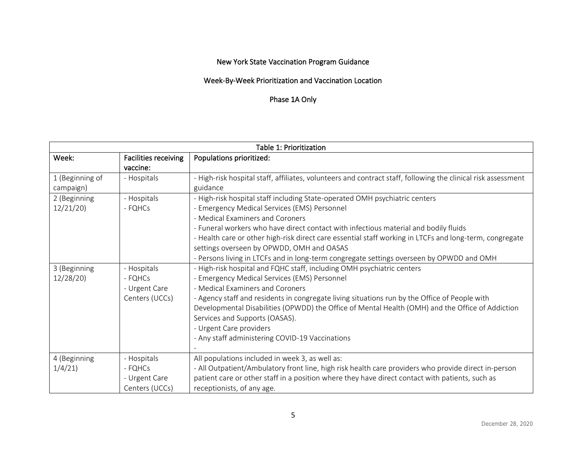# New York State Vaccination Program Guidance

## Week-By-Week Prioritization and Vaccination Location

# Phase 1A Only

| Table 1: Prioritization      |                                                           |                                                                                                                                                                                                                                                                                                                                                                                                                                                                                                             |  |
|------------------------------|-----------------------------------------------------------|-------------------------------------------------------------------------------------------------------------------------------------------------------------------------------------------------------------------------------------------------------------------------------------------------------------------------------------------------------------------------------------------------------------------------------------------------------------------------------------------------------------|--|
| Week:                        | <b>Facilities receiving</b><br>vaccine:                   | Populations prioritized:                                                                                                                                                                                                                                                                                                                                                                                                                                                                                    |  |
| 1 (Beginning of<br>campaign) | - Hospitals                                               | - High-risk hospital staff, affiliates, volunteers and contract staff, following the clinical risk assessment<br>guidance                                                                                                                                                                                                                                                                                                                                                                                   |  |
| 2 (Beginning<br>12/21/20     | - Hospitals<br>- FQHCs                                    | - High-risk hospital staff including State-operated OMH psychiatric centers<br>- Emergency Medical Services (EMS) Personnel<br>- Medical Examiners and Coroners<br>- Funeral workers who have direct contact with infectious material and bodily fluids<br>- Health care or other high-risk direct care essential staff working in LTCFs and long-term, congregate<br>settings overseen by OPWDD, OMH and OASAS<br>- Persons living in LTCFs and in long-term congregate settings overseen by OPWDD and OMH |  |
| 3 (Beginning<br>12/28/20     | - Hospitals<br>- FQHCs<br>- Urgent Care<br>Centers (UCCs) | - High-risk hospital and FQHC staff, including OMH psychiatric centers<br>- Emergency Medical Services (EMS) Personnel<br>- Medical Examiners and Coroners<br>- Agency staff and residents in congregate living situations run by the Office of People with<br>Developmental Disabilities (OPWDD) the Office of Mental Health (OMH) and the Office of Addiction<br>Services and Supports (OASAS).<br>- Urgent Care providers<br>- Any staff administering COVID-19 Vaccinations                             |  |
| 4 (Beginning<br>1/4/21       | - Hospitals<br>- FQHCs<br>- Urgent Care<br>Centers (UCCs) | All populations included in week 3, as well as:<br>- All Outpatient/Ambulatory front line, high risk health care providers who provide direct in-person<br>patient care or other staff in a position where they have direct contact with patients, such as<br>receptionists, of any age.                                                                                                                                                                                                                    |  |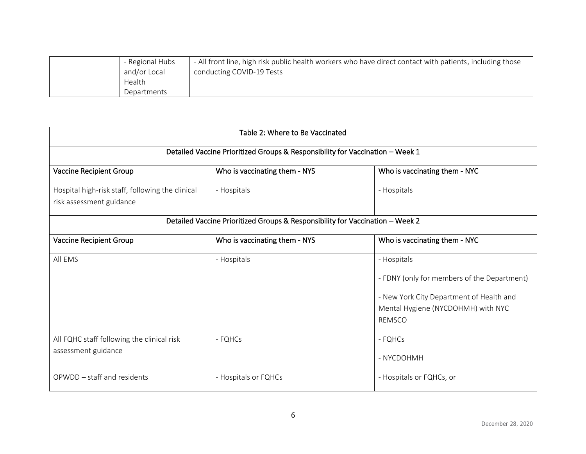| - All front line, high risk public health workers who have direct contact with patients, including those<br>- Regional Hubs<br>and/or Local<br>conducting COVID-19 Tests<br>Health<br>Departments |
|---------------------------------------------------------------------------------------------------------------------------------------------------------------------------------------------------|
|---------------------------------------------------------------------------------------------------------------------------------------------------------------------------------------------------|

| Table 2: Where to Be Vaccinated                                               |                               |                                                                                                                                                               |  |  |
|-------------------------------------------------------------------------------|-------------------------------|---------------------------------------------------------------------------------------------------------------------------------------------------------------|--|--|
| Detailed Vaccine Prioritized Groups & Responsibility for Vaccination - Week 1 |                               |                                                                                                                                                               |  |  |
| Vaccine Recipient Group                                                       | Who is vaccinating them - NYS | Who is vaccinating them - NYC                                                                                                                                 |  |  |
| Hospital high-risk staff, following the clinical<br>risk assessment guidance  | - Hospitals                   | - Hospitals                                                                                                                                                   |  |  |
| Detailed Vaccine Prioritized Groups & Responsibility for Vaccination - Week 2 |                               |                                                                                                                                                               |  |  |
| <b>Vaccine Recipient Group</b>                                                | Who is vaccinating them - NYS | Who is vaccinating them - NYC                                                                                                                                 |  |  |
| All EMS                                                                       | - Hospitals                   | - Hospitals<br>- FDNY (only for members of the Department)<br>- New York City Department of Health and<br>Mental Hygiene (NYCDOHMH) with NYC<br><b>REMSCO</b> |  |  |
| All FQHC staff following the clinical risk<br>assessment guidance             | - FQHCs                       | - FQHCs<br>- NYCDOHMH                                                                                                                                         |  |  |
| OPWDD - staff and residents                                                   | - Hospitals or FQHCs          | - Hospitals or FQHCs, or                                                                                                                                      |  |  |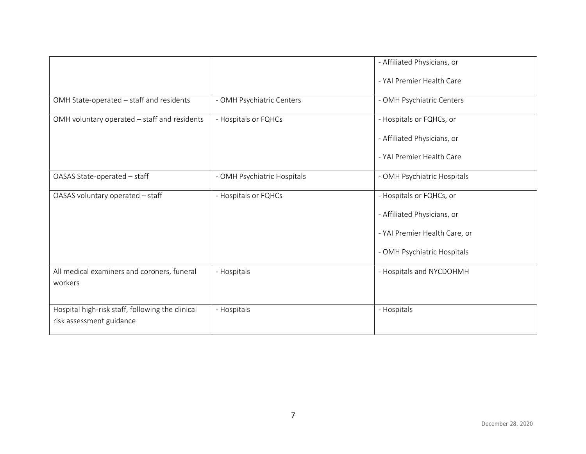|                                                  |                             | - Affiliated Physicians, or   |
|--------------------------------------------------|-----------------------------|-------------------------------|
|                                                  |                             | - YAI Premier Health Care     |
| OMH State-operated - staff and residents         | - OMH Psychiatric Centers   | - OMH Psychiatric Centers     |
| OMH voluntary operated - staff and residents     | - Hospitals or FQHCs        | - Hospitals or FQHCs, or      |
|                                                  |                             | - Affiliated Physicians, or   |
|                                                  |                             | - YAI Premier Health Care     |
| OASAS State-operated - staff                     | - OMH Psychiatric Hospitals | - OMH Psychiatric Hospitals   |
| OASAS voluntary operated - staff                 | - Hospitals or FQHCs        | - Hospitals or FQHCs, or      |
|                                                  |                             | - Affiliated Physicians, or   |
|                                                  |                             | - YAI Premier Health Care, or |
|                                                  |                             | - OMH Psychiatric Hospitals   |
| All medical examiners and coroners, funeral      | - Hospitals                 | - Hospitals and NYCDOHMH      |
| workers                                          |                             |                               |
| Hospital high-risk staff, following the clinical | - Hospitals                 | - Hospitals                   |
| risk assessment guidance                         |                             |                               |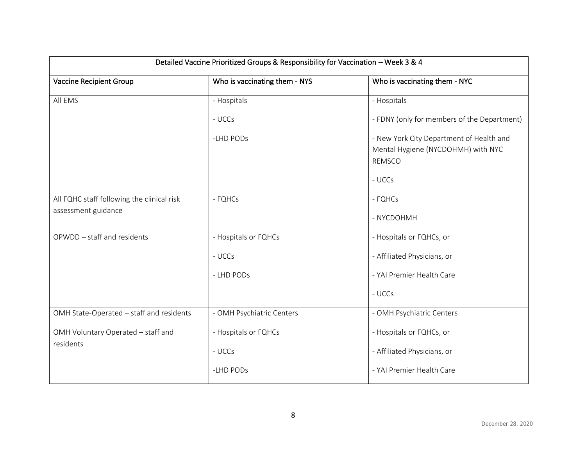| Detailed Vaccine Prioritized Groups & Responsibility for Vaccination - Week 3 & 4 |                               |                                                                                                 |  |
|-----------------------------------------------------------------------------------|-------------------------------|-------------------------------------------------------------------------------------------------|--|
| <b>Vaccine Recipient Group</b>                                                    | Who is vaccinating them - NYS | Who is vaccinating them - NYC                                                                   |  |
| All EMS                                                                           | - Hospitals                   | - Hospitals                                                                                     |  |
|                                                                                   | - UCCs                        | - FDNY (only for members of the Department)                                                     |  |
|                                                                                   | -LHD PODs                     | - New York City Department of Health and<br>Mental Hygiene (NYCDOHMH) with NYC<br><b>REMSCO</b> |  |
|                                                                                   |                               | - UCCs                                                                                          |  |
| All FQHC staff following the clinical risk                                        | - FQHCs                       | - FQHCs                                                                                         |  |
| assessment guidance                                                               |                               | - NYCDOHMH                                                                                      |  |
| OPWDD - staff and residents                                                       | - Hospitals or FQHCs          | - Hospitals or FQHCs, or                                                                        |  |
|                                                                                   | - UCCs                        | - Affiliated Physicians, or                                                                     |  |
|                                                                                   | - LHD PODs                    | - YAI Premier Health Care                                                                       |  |
|                                                                                   |                               | - UCCs                                                                                          |  |
| OMH State-Operated - staff and residents                                          | - OMH Psychiatric Centers     | - OMH Psychiatric Centers                                                                       |  |
| OMH Voluntary Operated - staff and                                                | - Hospitals or FQHCs          | - Hospitals or FQHCs, or                                                                        |  |
| residents                                                                         | - UCCs                        | - Affiliated Physicians, or                                                                     |  |
|                                                                                   | -LHD PODs                     | - YAI Premier Health Care                                                                       |  |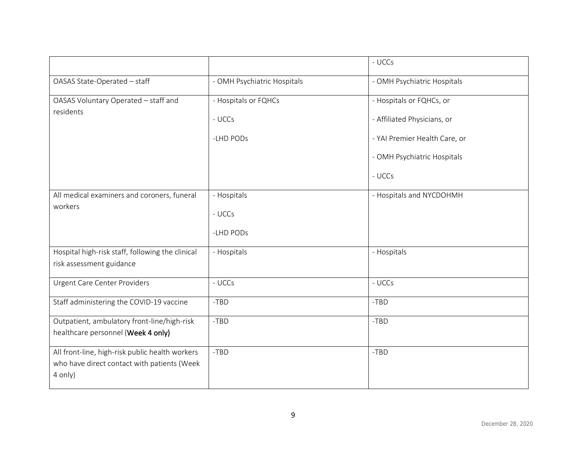|                                                                                                           |                             | - UCCs                        |
|-----------------------------------------------------------------------------------------------------------|-----------------------------|-------------------------------|
| OASAS State-Operated - staff                                                                              | - OMH Psychiatric Hospitals | - OMH Psychiatric Hospitals   |
| OASAS Voluntary Operated - staff and<br>residents                                                         | - Hospitals or FQHCs        | - Hospitals or FQHCs, or      |
|                                                                                                           | - UCCs                      | - Affiliated Physicians, or   |
|                                                                                                           | -LHD PODs                   | - YAI Premier Health Care, or |
|                                                                                                           |                             | - OMH Psychiatric Hospitals   |
|                                                                                                           |                             | - UCCs                        |
| All medical examiners and coroners, funeral<br>workers                                                    | - Hospitals                 | - Hospitals and NYCDOHMH      |
|                                                                                                           | - UCCs                      |                               |
|                                                                                                           | -LHD PODs                   |                               |
| Hospital high-risk staff, following the clinical<br>risk assessment guidance                              | - Hospitals                 | - Hospitals                   |
| <b>Urgent Care Center Providers</b>                                                                       | - UCCs                      | - UCCs                        |
| Staff administering the COVID-19 vaccine                                                                  | $-TBD$                      | $-TBD$                        |
| Outpatient, ambulatory front-line/high-risk<br>healthcare personnel (Week 4 only)                         | $-TBD$                      | $-TBD$                        |
| All front-line, high-risk public health workers<br>who have direct contact with patients (Week<br>4 only) | $-TBD$                      | $-TBD$                        |